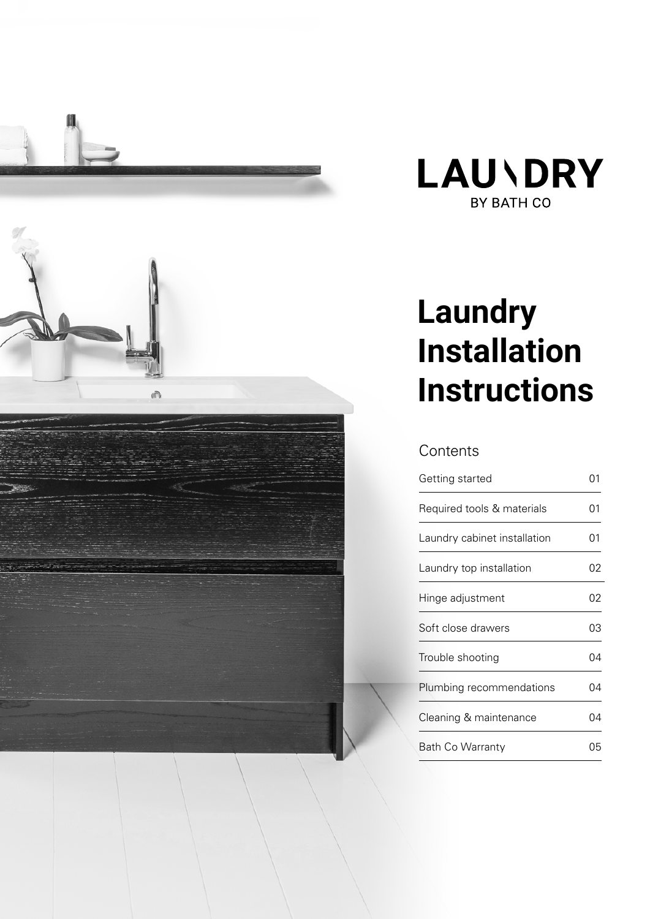



# **Laundry Installation Instructions**

### **Contents**

| Getting started              | ი1 |
|------------------------------|----|
| Required tools & materials   | 01 |
| Laundry cabinet installation | 01 |
| Laundry top installation     | 02 |
| Hinge adjustment             | 02 |
| Soft close drawers           | 03 |
| Trouble shooting             | 04 |
| Plumbing recommendations     | 04 |
| Cleaning & maintenance       | 04 |
| <b>Bath Co Warranty</b>      | 05 |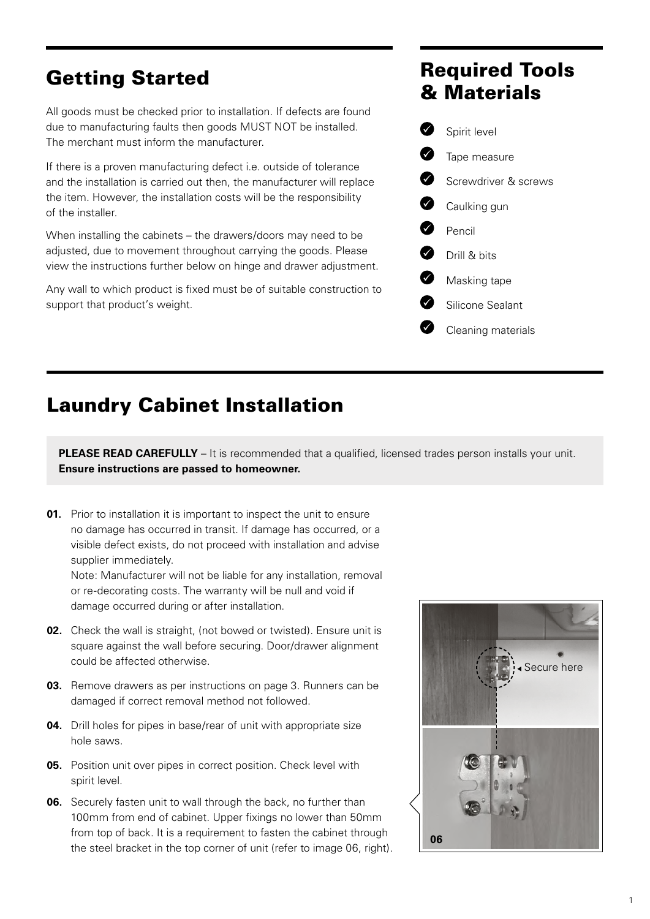### Getting Started

All goods must be checked prior to installation. If defects are found due to manufacturing faults then goods MUST NOT be installed. The merchant must inform the manufacturer.

If there is a proven manufacturing defect i.e. outside of tolerance and the installation is carried out then, the manufacturer will replace the item. However, the installation costs will be the responsibility of the installer.

When installing the cabinets – the drawers/doors may need to be adjusted, due to movement throughout carrying the goods. Please view the instructions further below on hinge and drawer adjustment.

Any wall to which product is fixed must be of suitable construction to support that product's weight.

### Required Tools & Materials



### Laundry Cabinet Installation

**PLEASE READ CAREFULLY** – It is recommended that a qualified, licensed trades person installs your unit. **Ensure instructions are passed to homeowner.**

**01.** Prior to installation it is important to inspect the unit to ensure no damage has occurred in transit. If damage has occurred, or a visible defect exists, do not proceed with installation and advise supplier immediately.

Note: Manufacturer will not be liable for any installation, removal or re-decorating costs. The warranty will be null and void if damage occurred during or after installation.

- **02.** Check the wall is straight, (not bowed or twisted). Ensure unit is square against the wall before securing. Door/drawer alignment could be affected otherwise.
- **03.** Remove drawers as per instructions on page 3. Runners can be damaged if correct removal method not followed.
- **04.** Drill holes for pipes in base/rear of unit with appropriate size hole saws.
- **05.** Position unit over pipes in correct position. Check level with spirit level.
- **06.** Securely fasten unit to wall through the back, no further than 100mm from end of cabinet. Upper fixings no lower than 50mm from top of back. It is a requirement to fasten the cabinet through the steel bracket in the top corner of unit (refer to image 06, right).

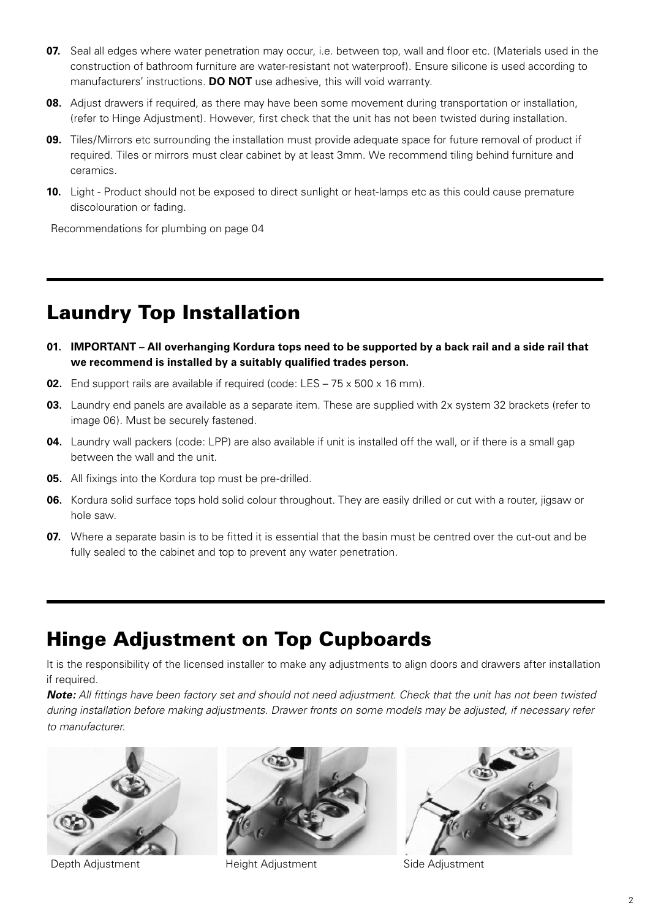- **07.** Seal all edges where water penetration may occur, i.e. between top, wall and floor etc. (Materials used in the construction of bathroom furniture are water-resistant not waterproof). Ensure silicone is used according to manufacturers' instructions. **DO NOT** use adhesive, this will void warranty.
- **08.** Adjust drawers if required, as there may have been some movement during transportation or installation, (refer to Hinge Adjustment). However, first check that the unit has not been twisted during installation.
- **09.** Tiles/Mirrors etc surrounding the installation must provide adequate space for future removal of product if required. Tiles or mirrors must clear cabinet by at least 3mm. We recommend tiling behind furniture and ceramics.
- **10.** Light Product should not be exposed to direct sunlight or heat-lamps etc as this could cause premature discolouration or fading.

Recommendations for plumbing on page 04

### Laundry Top Installation

- **01. IMPORTANT All overhanging Kordura tops need to be supported by a back rail and a side rail that we recommend is installed by a suitably qualified trades person.**
- **02.** End support rails are available if required (code: LES 75 x 500 x 16 mm).
- **03.** Laundry end panels are available as a separate item. These are supplied with 2x system 32 brackets (refer to image 06). Must be securely fastened.
- **04.** Laundry wall packers (code: LPP) are also available if unit is installed off the wall, or if there is a small gap between the wall and the unit.
- **05.** All fixings into the Kordura top must be pre-drilled.
- **06.** Kordura solid surface tops hold solid colour throughout. They are easily drilled or cut with a router, jigsaw or hole saw.
- **07.** Where a separate basin is to be fitted it is essential that the basin must be centred over the cut-out and be fully sealed to the cabinet and top to prevent any water penetration.

### Hinge Adjustment on Top Cupboards

It is the responsibility of the licensed installer to make any adjustments to align doors and drawers after installation if required.

*Note: All fittings have been factory set and should not need adjustment. Check that the unit has not been twisted during installation before making adjustments. Drawer fronts on some models may be adjusted, if necessary refer to manufacturer.*



Depth Adjustment Height Adjustment Side Adjustment



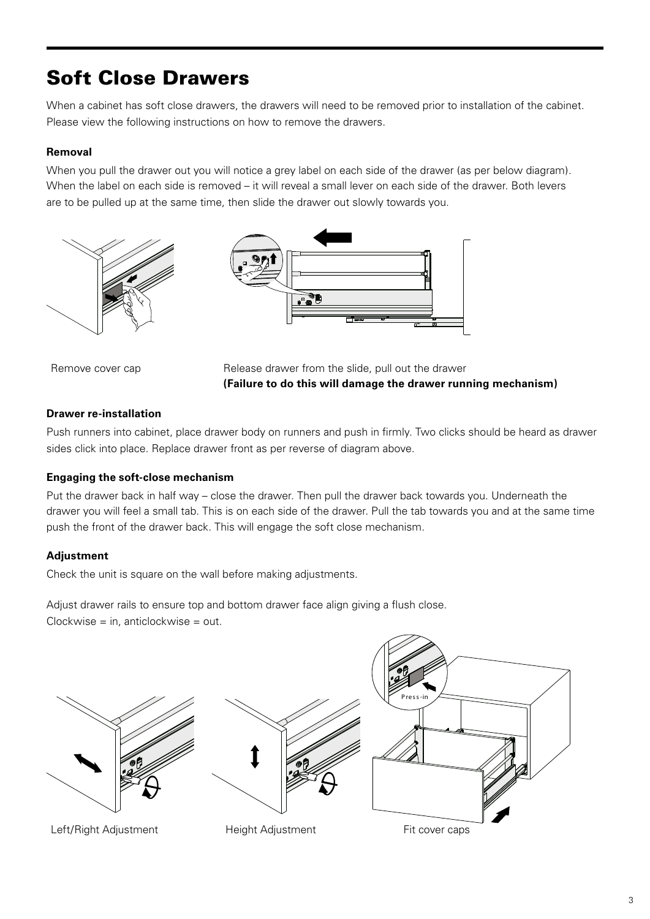# Soft Close Drawers

When a cabinet has soft close drawers, the drawers will need to be removed prior to installation of the cabinet. Please view the following instructions on how to remove the drawers.

#### **Removal**

When you pull the drawer out you will notice a grey label on each side of the drawer (as per below diagram). When the label on each side is removed – it will reveal a small lever on each side of the drawer. Both levers are to be pulled up at the same time, then slide the drawer out slowly towards you.





Remove cover cap **Release drawer from the slide, pull out the drawer (Failure to do this will damage the drawer running mechanism)**

#### **Drawer re-installation**

Push runners into cabinet, place drawer body on runners and push in firmly. Two clicks should be heard as drawer sides click into place. Replace drawer front as per reverse of diagram above.

#### **Engaging the soft-close mechanism**

Put the drawer back in half way – close the drawer. Then pull the drawer back towards you. Underneath the drawer you will feel a small tab. This is on each side of the drawer. Pull the tab towards you and at the same time push the front of the drawer back. This will engage the soft close mechanism.

#### **Adjustment**

Check the unit is square on the wall before making adjustments.

Adjust drawer rails to ensure top and bottom drawer face align giving a flush close. Clockwise = in, anticlockwise = out.

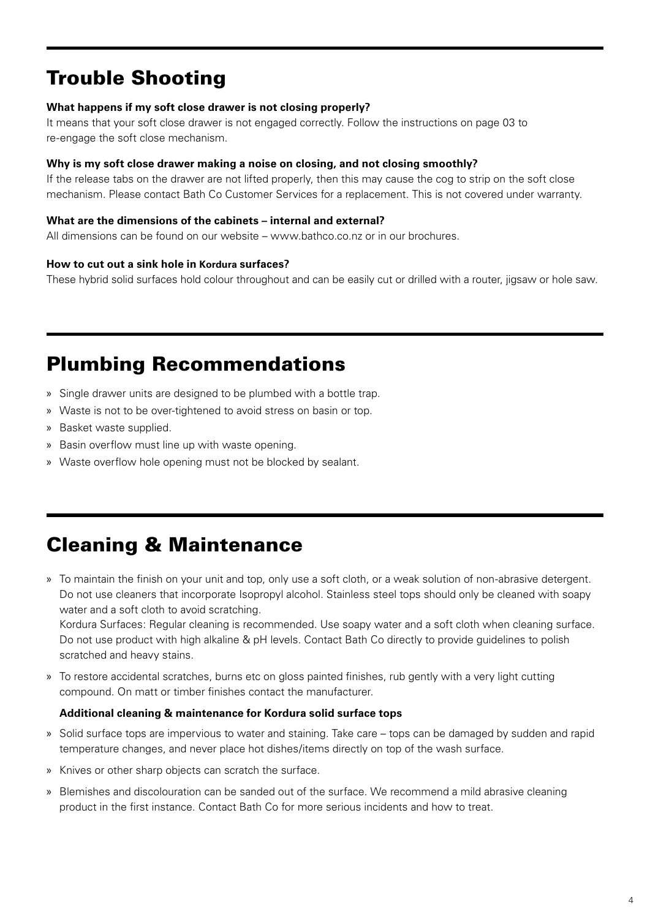### Trouble Shooting

#### **What happens if my soft close drawer is not closing properly?**

It means that your soft close drawer is not engaged correctly. Follow the instructions on page 03 to re-engage the soft close mechanism.

#### **Why is my soft close drawer making a noise on closing, and not closing smoothly?**

If the release tabs on the drawer are not lifted properly, then this may cause the cog to strip on the soft close mechanism. Please contact Bath Co Customer Services for a replacement. This is not covered under warranty.

#### **What are the dimensions of the cabinets – internal and external?**

All dimensions can be found on our website – www.bathco.co.nz or in our brochures.

#### **How to cut out a sink hole in Kordura surfaces?**

These hybrid solid surfaces hold colour throughout and can be easily cut or drilled with a router, jigsaw or hole saw.

### Plumbing Recommendations

- » Single drawer units are designed to be plumbed with a bottle trap.
- » Waste is not to be over-tightened to avoid stress on basin or top.
- » Basket waste supplied.
- » Basin overflow must line up with waste opening.
- » Waste overflow hole opening must not be blocked by sealant.

### Cleaning & Maintenance

» To maintain the finish on your unit and top, only use a soft cloth, or a weak solution of non-abrasive detergent. Do not use cleaners that incorporate Isopropyl alcohol. Stainless steel tops should only be cleaned with soapy water and a soft cloth to avoid scratching.

Kordura Surfaces: Regular cleaning is recommended. Use soapy water and a soft cloth when cleaning surface. Do not use product with high alkaline & pH levels. Contact Bath Co directly to provide guidelines to polish scratched and heavy stains.

» To restore accidental scratches, burns etc on gloss painted finishes, rub gently with a very light cutting compound. On matt or timber finishes contact the manufacturer.

#### **Additional cleaning & maintenance for Kordura solid surface tops**

- » Solid surface tops are impervious to water and staining. Take care tops can be damaged by sudden and rapid temperature changes, and never place hot dishes/items directly on top of the wash surface.
- » Knives or other sharp objects can scratch the surface.
- » Blemishes and discolouration can be sanded out of the surface. We recommend a mild abrasive cleaning product in the first instance. Contact Bath Co for more serious incidents and how to treat.